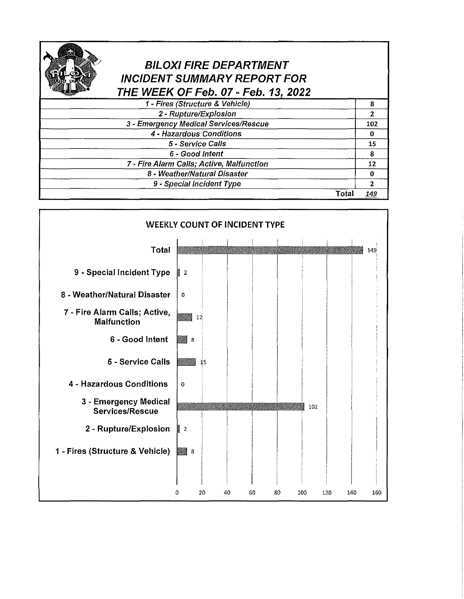## **BILOXI FIRE DEPARTMENT INCIDENT SUMMARY REPORT FOR THE WEEK OF Feb. 07- Feb. 1 2022**

| 1 - Fires (Structure & Vehicle)           |       |     |
|-------------------------------------------|-------|-----|
| 2 - Rupture/Explosion                     |       |     |
| 3 - Emergency Medical Services/Rescue     |       | 102 |
| 4 - Hazardous Conditions                  |       |     |
| 5 - Service Calls                         |       | 15  |
| 6 - Good Intent                           |       | я   |
| 7 - Fire Alarm Calls; Active, Malfunction |       | 12  |
| 8 - Weather/Natural Disaster              |       |     |
| 9 - Special Incident Type                 |       |     |
|                                           | Total | 149 |

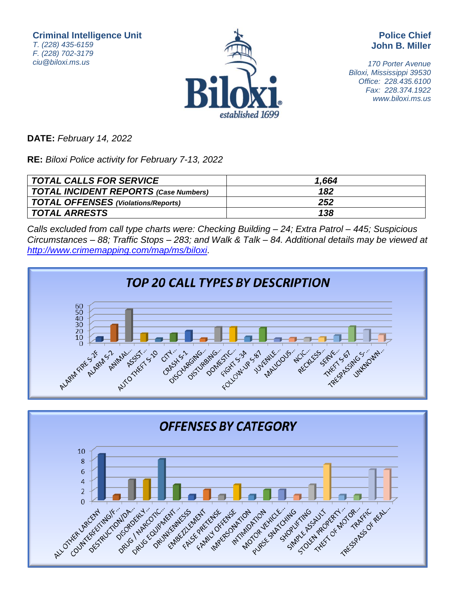**Criminal Intelligence Unit** T. (228) 435-6159 F. (228) 702-3179 ciu@biloxi.ms.us



**Police Chief John B. Miller**

170 Porter Avenue Biloxi, Mississippi 39530 Office: 228.435.6100 Fax: 228.374.1922 www.biloxi.ms.us

**DATE:** February 14, 2022

**RE:** Biloxi Police activity for February 7-13, 2022

| TOTAL CALLS FOR SERVICE               | 1.664 |
|---------------------------------------|-------|
| TOTAL INCIDENT REPORTS (Case Numbers) | 182   |
| TOTAL OFFENSES (Violations/Reports)   | 252   |
| <i>TOTAL ARRESTS</i>                  | 138   |

Calls excluded from call type charts were: Checking Building – 24; Extra Patrol – 445; Suspicious Circumstances – 88; Traffic Stops – 283; and Walk & Talk – 84. Additional details may be viewed at <http://www.crimemapping.com/map/ms/biloxi>.